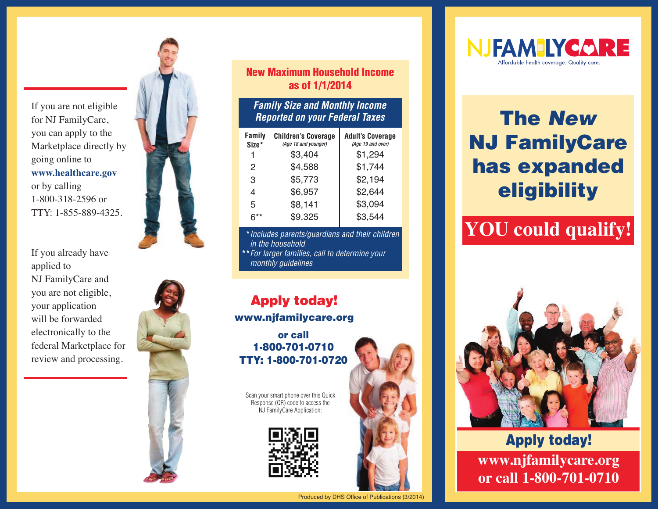If you are not eligible for NJ FamilyCare, you can apply to the Marketplace directly by going online to **www.healthcare.gov** or by calling 1-800-318-2596 or TTY: 1-855-889-4325.

If you already have applied to NJ FamilyCare and you are not eligible, your application will be forwarded electronically to the federal Marketplace for review and processing.



#### **New Maximum Household Income as of 1/1/2014**

#### *Family Size and Monthly Income Reported on your Federal Taxes*

| <b>Family</b><br>Size* | <b>Children's Coverage</b><br>(Age 18 and younger) | <b>Adult's Coverage</b><br>(Age 19 and over) |
|------------------------|----------------------------------------------------|----------------------------------------------|
|                        | \$3,404                                            | \$1,294                                      |
| 2                      | \$4,588                                            | \$1,744                                      |
| 3                      | \$5,773                                            | \$2,194                                      |
| 4                      | \$6,957                                            | \$2,644                                      |
| 5                      | \$8,141                                            | \$3,094                                      |
| $6***$                 | \$9,325                                            | \$3,544                                      |

**\****Includes parents/guardians and their children in the household*

**\*\****For larger families, call to determine your monthly guidelines*

### **Apply today! www.njfamilycare.org**

**or call 1-800-701-0710 TTY: 1-800-701-0720**

Scan your smart phone over this Quick Response (QR) code to access the NJ FamilyCare Application:





# **The** *New* **NJ FamilyCare has expanded eligibility**

## **YOU could qualify!**



**Apply today! www.njfamilycare.org or call 1-800-701-0710**